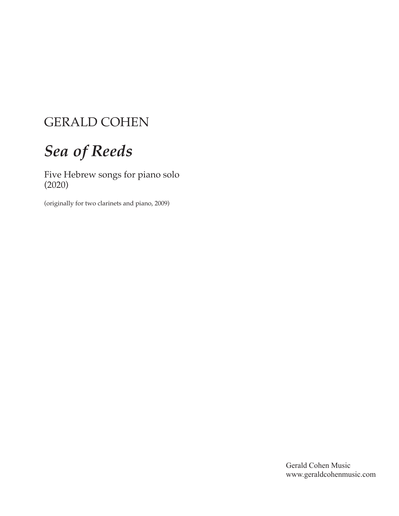## GERALD COHEN

## *Sea of Reeds*

Five Hebrew songs for piano solo (2020)

(originally for two clarinets and piano, 2009)

Gerald Cohen Music www.geraldcohenmusic.com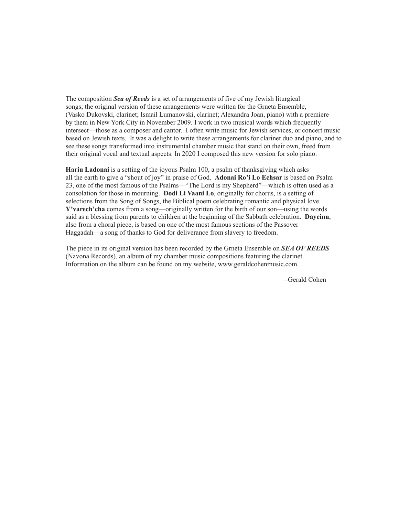The composition *Sea of Reeds* is a set of arrangements of five of my Jewish liturgical songs; the original version of these arrangements were written for the Grneta Ensemble, (Vasko Dukovski, clarinet; Ismail Lumanovski, clarinet; Alexandra Joan, piano) with a premiere by them in New York City in November 2009. I work in two musical words which frequently intersect—those as a composer and cantor. I often write music for Jewish services, or concert music based on Jewish texts. It was a delight to write these arrangements for clarinet duo and piano, and to see these songs transformed into instrumental chamber music that stand on their own, freed from their original vocal and textual aspects. In 2020 I composed this new version for solo piano.

**Hariu Ladonai** is a setting of the joyous Psalm 100, a psalm of thanksgiving which asks all the earth to give a "shout of joy" in praise of God. **Adonai Ro'i Lo Echsar** is based on Psalm 23, one of the most famous of the Psalms—"The Lord is my Shepherd"—which is often used as a consolation for those in mourning. **Dodi Li Vaani Lo**, originally for chorus, is a setting of selections from the Song of Songs, the Biblical poem celebrating romantic and physical love. Y'varech'cha comes from a song—originally written for the birth of our son—using the words said as a blessing from parents to children at the beginning of the Sabbath celebration. **Dayeinu**, also from a choral piece, is based on one of the most famous sections of the Passover Haggadah—a song of thanks to God for deliverance from slavery to freedom.

The piece in its original version has been recorded by the Grneta Ensemble on *SEA OF REEDS* (Navona Records), an album of my chamber music compositions featuring the clarinet. Information on the album can be found on my website, www.geraldcohenmusic.com.

–Gerald Cohen